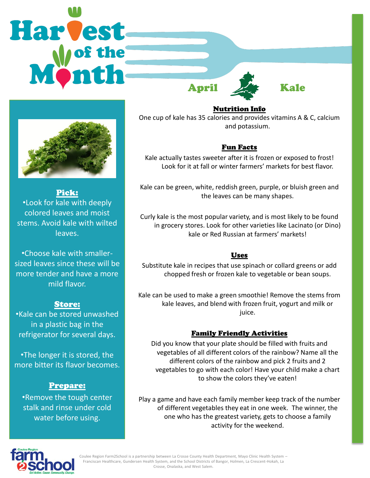



Pick: •Look for kale with deeply colored leaves and moist stems. Avoid kale with wilted leaves.

•Choose kale with smallersized leaves since these will be more tender and have a more mild flavor.

## Store:

•Kale can be stored unwashed in a plastic bag in the refrigerator for several days.

•The longer it is stored, the more bitter its flavor becomes.

## Prepare:

•Remove the tough center stalk and rinse under cold water before using.

Nutrition Info

One cup of kale has 35 calories and provides vitamins A & C, calcium and potassium.

# Fun Facts

Kale actually tastes sweeter after it is frozen or exposed to frost! Look for it at fall or winter farmers' markets for best flavor.

Kale can be green, white, reddish green, purple, or bluish green and the leaves can be many shapes.

Curly kale is the most popular variety, and is most likely to be found in grocery stores. Look for other varieties like Lacinato (or Dino) kale or Red Russian at farmers' markets!

## Uses

Substitute kale in recipes that use spinach or collard greens or add chopped fresh or frozen kale to vegetable or bean soups.

Kale can be used to make a green smoothie! Remove the stems from kale leaves, and blend with frozen fruit, yogurt and milk or juice.

# Family Friendly Activities

Did you know that your plate should be filled with fruits and vegetables of all different colors of the rainbow? Name all the different colors of the rainbow and pick 2 fruits and 2 vegetables to go with each color! Have your child make a chart to show the colors they've eaten!

Play a game and have each family member keep track of the number of different vegetables they eat in one week. The winner, the one who has the greatest variety, gets to choose a family activity for the weekend.



Coulee Region Farm2School is a partnership between La Crosse County Health Department, Mayo Clinic Health System – Franciscan Healthcare, Gundersen Health System, and the School Districts of Bangor, Holmen, La Crescent-Hokah, La Crosse, Onalaska, and West Salem.